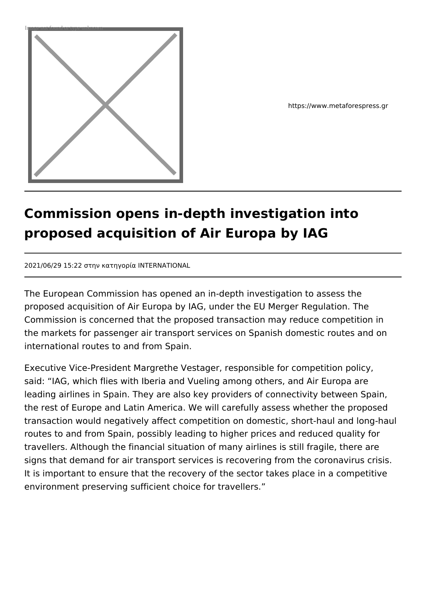

https://www.metaforespress.gr

## **Commission opens in-depth investigation into proposed acquisition of Air Europa by IAG**

2021/06/29 15:22 στην κατηγορία INTERNATIONAL

The European Commission has opened an in-depth investigation to assess the proposed acquisition of Air Europa by IAG, under the EU Merger Regulation. The Commission is concerned that the proposed transaction may reduce competition in the markets for passenger air transport services on Spanish domestic routes and on international routes to and from Spain.

Executive Vice-President Margrethe Vestager, responsible for competition policy, said: "IAG, which flies with Iberia and Vueling among others, and Air Europa are leading airlines in Spain. They are also key providers of connectivity between Spain, the rest of Europe and Latin America. We will carefully assess whether the proposed transaction would negatively affect competition on domestic, short-haul and long-haul routes to and from Spain, possibly leading to higher prices and reduced quality for travellers. Although the financial situation of many airlines is still fragile, there are signs that demand for air transport services is recovering from the coronavirus crisis. It is important to ensure that the recovery of the sector takes place in a competitive environment preserving sufficient choice for travellers."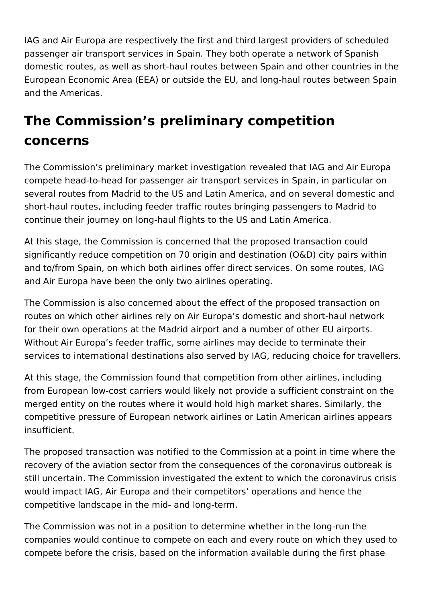IAG and Air Europa are respectively the first and third largest providers of scheduled passenger air transport services in Spain. They both operate a network of Spanish domestic routes, as well as short-haul routes between Spain and other countries in the European Economic Area (EEA) or outside the EU, and long-haul routes between Spain and the Americas.

## **The Commission's preliminary competition concerns**

The Commission's preliminary market investigation revealed that IAG and Air Europa compete head-to-head for passenger air transport services in Spain, in particular on several routes from Madrid to the US and Latin America, and on several domestic and short-haul routes, including feeder traffic routes bringing passengers to Madrid to continue their journey on long-haul flights to the US and Latin America.

At this stage, the Commission is concerned that the proposed transaction could significantly reduce competition on 70 origin and destination (O&D) city pairs within and to/from Spain, on which both airlines offer direct services. On some routes, IAG and Air Europa have been the only two airlines operating.

The Commission is also concerned about the effect of the proposed transaction on routes on which other airlines rely on Air Europa's domestic and short-haul network for their own operations at the Madrid airport and a number of other EU airports. Without Air Europa's feeder traffic, some airlines may decide to terminate their services to international destinations also served by IAG, reducing choice for travellers.

At this stage, the Commission found that competition from other airlines, including from European low-cost carriers would likely not provide a sufficient constraint on the merged entity on the routes where it would hold high market shares. Similarly, the competitive pressure of European network airlines or Latin American airlines appears insufficient.

The proposed transaction was notified to the Commission at a point in time where the recovery of the aviation sector from the consequences of the coronavirus outbreak is still uncertain. The Commission investigated the extent to which the coronavirus crisis would impact IAG, Air Europa and their competitors' operations and hence the competitive landscape in the mid- and long-term.

The Commission was not in a position to determine whether in the long-run the companies would continue to compete on each and every route on which they used to compete before the crisis, based on the information available during the first phase